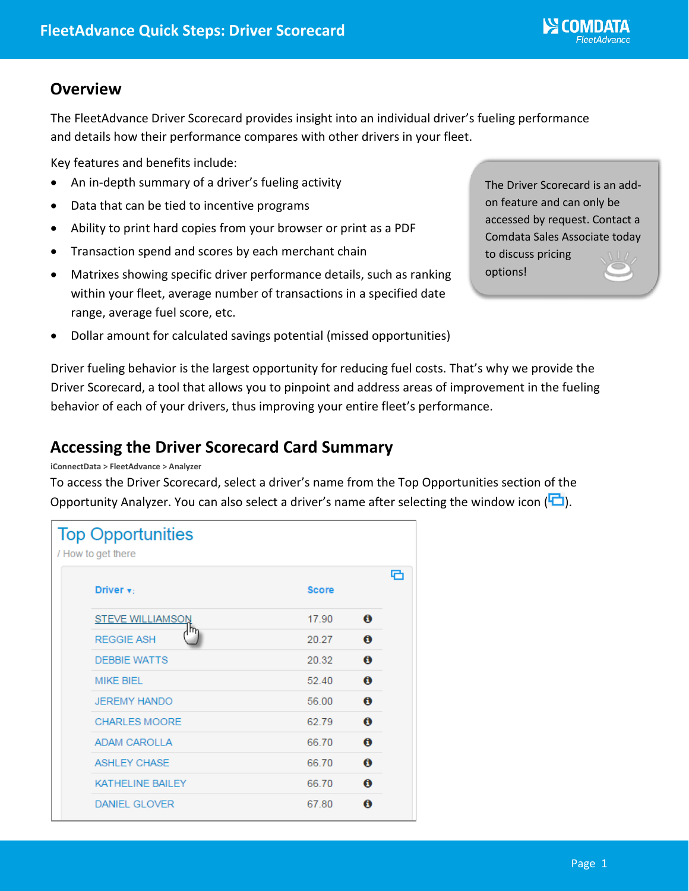## **Overview**

The FleetAdvance Driver Scorecard provides insight into an individual driver's fueling performance and details how their performance compares with other drivers in your fleet.

Key features and benefits include:

- An in-depth summary of a driver's fueling activity
- Data that can be tied to incentive programs
- Ability to print hard copies from your browser or print as a PDF
- Transaction spend and scores by each merchant chain
- Matrixes showing specific driver performance details, such as ranking within your fleet, average number of transactions in a specified date range, average fuel score, etc.

The Driver Scorecard is an addon feature and can only be accessed by request. Contact a Comdata Sales Associate today to discuss pricing options!

• Dollar amount for calculated savings potential (missed opportunities)

Driver fueling behavior is the largest opportunity for reducing fuel costs. That's why we provide the Driver Scorecard, a tool that allows you to pinpoint and address areas of improvement in the fueling behavior of each of your drivers, thus improving your entire fleet's performance.

# **Accessing the Driver Scorecard Card Summary**

#### **iConnectData > FleetAdvance > Analyzer**

To access the Driver Scorecard, select a driver's name from the Top Opportunities section of the Opportunity Analyzer. You can also select a driver's name after selecting the window icon  $\left( \Box \right)$ .

| <b>Top Opportunities</b><br>/ How to get there |                         |              |                  |   |  |  |
|------------------------------------------------|-------------------------|--------------|------------------|---|--|--|
|                                                | Driver $\mathbf{v}$ :   | <b>Score</b> |                  | e |  |  |
|                                                | <b>STEVE WILLIAMSON</b> | 17.90        | $\mathbf \theta$ |   |  |  |
|                                                | <b>REGGIE ASH</b>       | 20.27        | $\mathbf \theta$ |   |  |  |
|                                                | <b>DEBBIE WATTS</b>     | 20.32        | θ                |   |  |  |
|                                                | <b>MIKE BIEL</b>        | 52.40        | $\mathbf \theta$ |   |  |  |
|                                                | <b>JEREMY HANDO</b>     | 56.00        | $\mathbf \sigma$ |   |  |  |
|                                                | <b>CHARLES MOORE</b>    | 62.79        | $\mathbf 0$      |   |  |  |
|                                                | <b>ADAM CAROLLA</b>     | 66.70        | $\mathbf \theta$ |   |  |  |
|                                                | <b>ASHLEY CHASE</b>     | 66.70        | 0                |   |  |  |
|                                                | <b>KATHELINE BAILEY</b> | 66.70        | $\bf{0}$         |   |  |  |
|                                                | <b>DANIEL GLOVER</b>    | 67.80        | A                |   |  |  |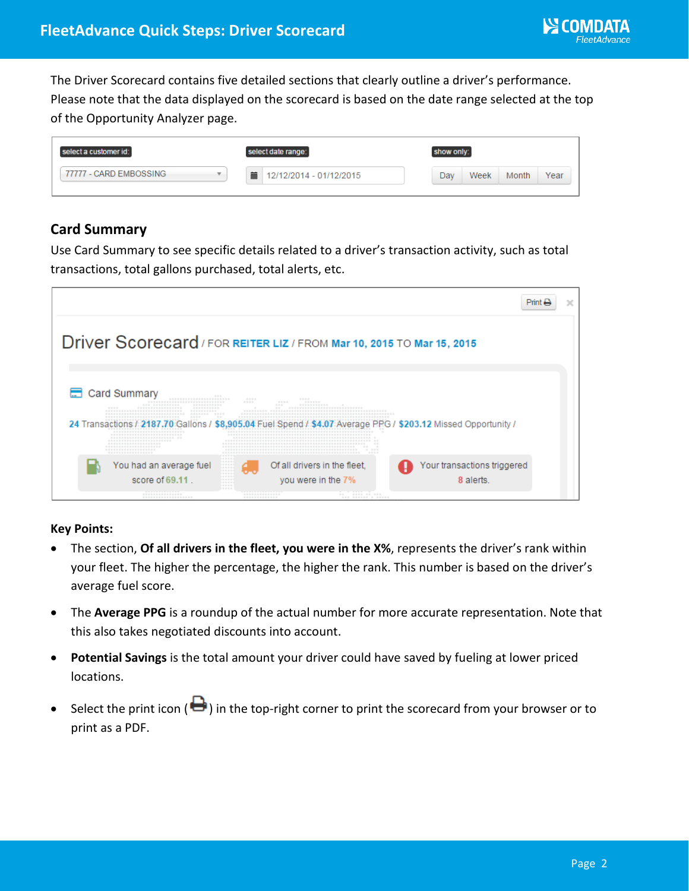The Driver Scorecard contains five detailed sections that clearly outline a driver's performance. Please note that the data displayed on the scorecard is based on the date range selected at the top of the Opportunity Analyzer page.

| select a customer id:  | select date range:           | show only:                          |
|------------------------|------------------------------|-------------------------------------|
| 77777 - CARD EMBOSSING | 萹<br>12/12/2014 - 01/12/2015 | Dav<br>Week<br><b>Month</b><br>Year |

### **Card Summary**

Use Card Summary to see specific details related to a driver's transaction activity, such as total transactions, total gallons purchased, total alerts, etc.

| <b>Driver Scorecard</b> / FOR REITER LIZ / FROM Mar 10, 2015 TO Mar 15, 2015 |                                                                                                                                                                                                                                                                                                |                                 |                                                                      |                                             |  |  |
|------------------------------------------------------------------------------|------------------------------------------------------------------------------------------------------------------------------------------------------------------------------------------------------------------------------------------------------------------------------------------------|---------------------------------|----------------------------------------------------------------------|---------------------------------------------|--|--|
|                                                                              | Card Summary<br><br><br>------------------------------<br>--------------<br>-----------<br>*****************<br>-----------<br>******************************<br>-----------<br>******************************<br>--------<br>----                                                             | $- - - - -$<br>----<br>---<br>- | $-1 - 1 - 1 - 1 - 1$<br>------------<br>**************************** |                                             |  |  |
|                                                                              | *****************************<br>24 Transactions / 2187.<br><b>****************************</b><br><b>****************************</b><br>************************ **<br>************************<br>********************<br>*********************<br>*******************<br>***************** |                                 | *************************************<br>.<br>$-1 - 1 - 1 - 1$       | Average PPG / \$203.12 Missed Opportunity / |  |  |
|                                                                              | <br><br>You had an average fuel<br><br><br><br>-----<br>-----<br>score of 69.11.<br>.<br>.<br><br>-----<br>---------------                                                                                                                                                                     | --------------                  | Of all drivers in the fleet,<br>you were in the 7%<br>               | Your transactions triggered<br>8 alerts.    |  |  |

#### **Key Points:**

- The section, **Of all drivers in the fleet, you were in the X%**, represents the driver's rank within your fleet. The higher the percentage, the higher the rank. This number is based on the driver's average fuel score.
- The **Average PPG** is a roundup of the actual number for more accurate representation. Note that this also takes negotiated discounts into account.
- **Potential Savings** is the total amount your driver could have saved by fueling at lower priced locations.
- Select the print icon ( $\bigoplus$ ) in the top-right corner to print the scorecard from your browser or to print as a PDF.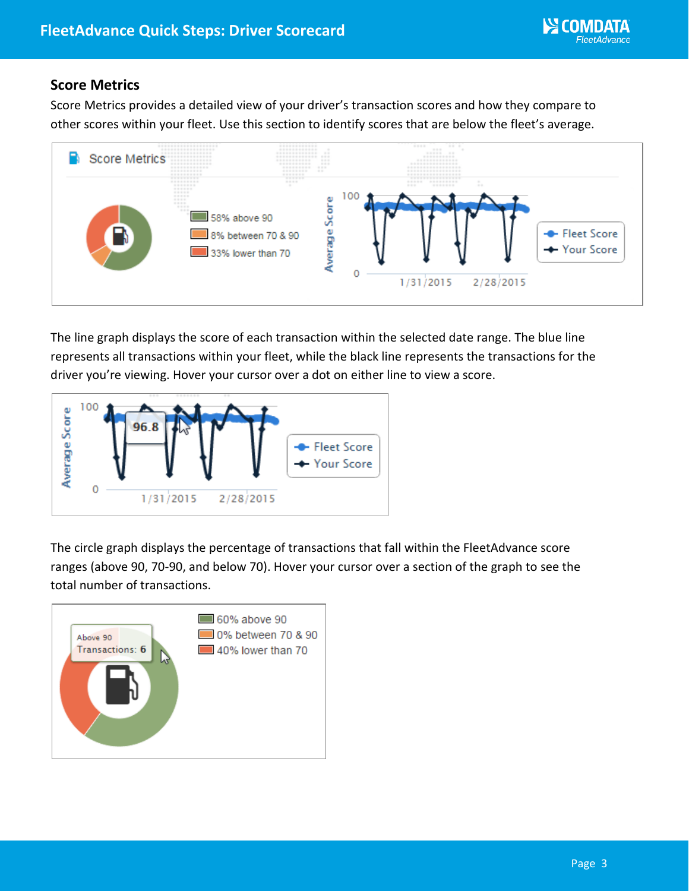## **Score Metrics**

Score Metrics provides a detailed view of your driver's transaction scores and how they compare to other scores within your fleet. Use this section to identify scores that are below the fleet's average.



The line graph displays the score of each transaction within the selected date range. The blue line represents all transactions within your fleet, while the black line represents the transactions for the driver you're viewing. Hover your cursor over a dot on either line to view a score.



The circle graph displays the percentage of transactions that fall within the FleetAdvance score ranges (above 90, 70-90, and below 70). Hover your cursor over a section of the graph to see the total number of transactions.

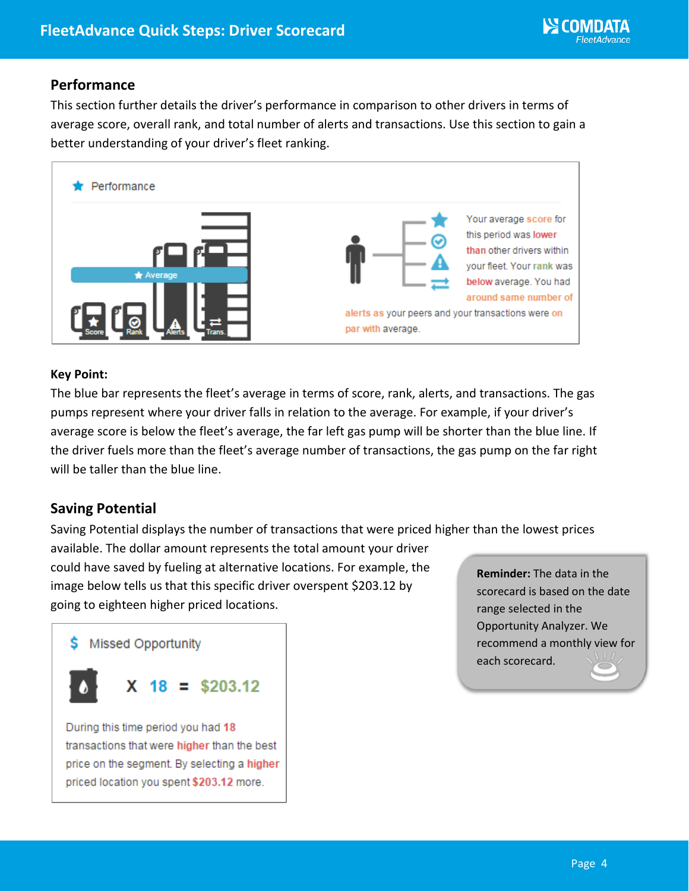### **Performance**

This section further details the driver's performance in comparison to other drivers in terms of average score, overall rank, and total number of alerts and transactions. Use this section to gain a better understanding of your driver's fleet ranking.



#### **Key Point:**

The blue bar represents the fleet's average in terms of score, rank, alerts, and transactions. The gas pumps represent where your driver falls in relation to the average. For example, if your driver's average score is below the fleet's average, the far left gas pump will be shorter than the blue line. If the driver fuels more than the fleet's average number of transactions, the gas pump on the far right will be taller than the blue line.

### **Saving Potential**

Saving Potential displays the number of transactions that were priced higher than the lowest prices available. The dollar amount represents the total amount your driver could have saved by fueling at alternative locations. For example, the image below tells us that this specific driver overspent \$203.12 by going to eighteen higher priced locations. **Reminder:** The data in the



transactions that were higher than the best price on the segment. By selecting a higher priced location you spent \$203.12 more.

scorecard is based on the date range selected in the Opportunity Analyzer. We recommend a monthly view for each scorecard.